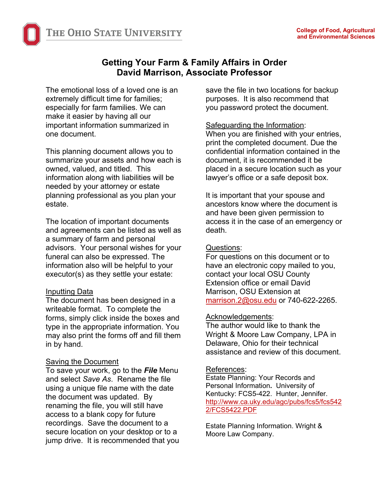## **Getting Your Farm & Family Affairs in Order David Marrison, Associate Professor**

The emotional loss of a loved one is an extremely difficult time for families; especially for farm families. We can make it easier by having all our important information summarized in one document.

This planning document allows you to summarize your assets and how each is owned, valued, and titled. This information along with liabilities will be needed by your attorney or estate planning professional as you plan your estate.

The location of important documents and agreements can be listed as well as a summary of farm and personal advisors. Your personal wishes for your funeral can also be expressed. The information also will be helpful to your executor(s) as they settle your estate:

#### Inputting Data

The document has been designed in a writeable format. To complete the forms, simply click inside the boxes and type in the appropriate information. You may also print the forms off and fill them in by hand.

#### **Saving the Document**

To save your work, go to the *File* Menu and select *Save As*. Rename the file using a unique file name with the date the document was updated. By renaming the file, you will still have access to a blank copy for future recordings. Save the document to a secure location on your desktop or to a jump drive. It is recommended that you save the file in two locations for backup purposes. It is also recommend that you password protect the document.

#### Safeguarding the Information:

When you are finished with your entries, print the completed document. Due the confidential information contained in the document, it is recommended it be placed in a secure location such as your lawyer's office or a safe deposit box.

It is important that your spouse and ancestors know where the document is and have been given permission to access it in the case of an emergency or death.

#### Questions:

For questions on this document or to have an electronic copy mailed to you, contact your local OSU County Extension office or email David Marrison, OSU Extension at [marrison.2@osu.edu](mailto:marrison.2@osu.edu) or 740-622-2265.

#### Acknowledgements:

The author would like to thank the Wright & Moore Law Company, LPA in Delaware, Ohio for their technical assistance and review of this document.

#### References:

Estate Planning: Your Records and Personal Information**.** University of Kentucky: FCS5-422. Hunter, Jennifer. [http://www.ca.uky.edu/agc/pubs/fcs5/fcs542](http://www.ca.uky.edu/agc/pubs/fcs5/fcs5422/FCS5422.PDF) [2/FCS5422.PDF](http://www.ca.uky.edu/agc/pubs/fcs5/fcs5422/FCS5422.PDF)

Estate Planning Information. Wright & Moore Law Company.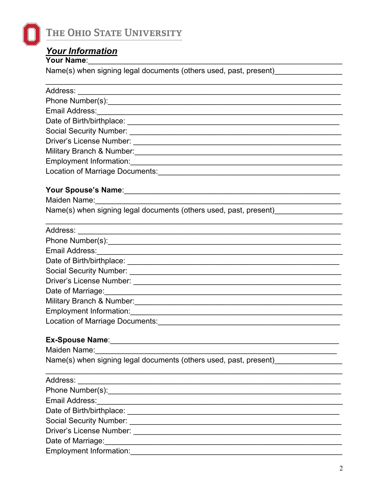

## **Your Information**

#### Your Name:

Name(s) when signing legal documents (others used, past, present)

| Address: _______________            |  |
|-------------------------------------|--|
|                                     |  |
| Email Address: ____________________ |  |
| Date of Birth/birthplace:           |  |
|                                     |  |
|                                     |  |
| Military Branch & Number:           |  |
| <b>Employment Information:</b>      |  |
| Location of Marriage Documents:     |  |

#### 

Maiden Name: Name(s) when signing legal documents (others used, past, present)\_\_\_\_\_\_\_\_\_\_\_\_\_\_\_

| Address: _____________________                  |  |
|-------------------------------------------------|--|
| Phone Number(s): Name of Number                 |  |
| Email Address:                                  |  |
| Date of Birth/birthplace:                       |  |
| Social Security Number: Social Security Number: |  |
| Driver's License Number:                        |  |
| Date of Marriage:<br><u>Date</u> of Marriage:   |  |
| Military Branch & Number:                       |  |
| <b>Employment Information:</b>                  |  |
| Location of Marriage Documents:                 |  |

#### Ex-Spouse Name: Mannel Annual Account of the U.S. of the U.S. of the U.S. of the U.S. of the U.S. of the U.S. of the U.S. of the U.S. of the U.S. of the U.S. of the U.S. of the U.S. of the U.S. of the U.S. of the U.S. of t

Maiden Name: **Maiden Name: Maiden Name: Maiden Name: Maion** 

Name(s) when signing legal documents (others used, past, present)\_\_\_\_\_\_\_\_\_\_\_\_\_\_\_

| Address: 2000                  |  |
|--------------------------------|--|
| Phone Number(s):               |  |
|                                |  |
| Date of Birth/birthplace:      |  |
| <b>Social Security Number:</b> |  |
| Driver's License Number:       |  |
| Date of Marriage:              |  |
| Employment Information:        |  |
|                                |  |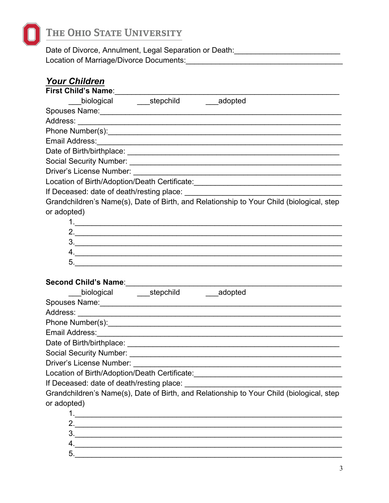

Date of Divorce, Annulment, Legal Separation or Death: \_\_\_\_\_\_\_\_\_\_\_\_\_\_\_\_\_\_\_\_\_\_\_\_\_ 

| <b>Your Children</b>                                                                                                                                                                                                           |
|--------------------------------------------------------------------------------------------------------------------------------------------------------------------------------------------------------------------------------|
| First Child's Name:                                                                                                                                                                                                            |
| biological stepchild<br>__adopted                                                                                                                                                                                              |
| Spouses Name: Manual Communication of the Communication of the Communication of the Communication of the Communication of the Communication of the Communication of the Communication of the Communication of the Communicatio |
|                                                                                                                                                                                                                                |
|                                                                                                                                                                                                                                |
| Email Address: All Annual Address: All Annual Address: All Annual Address: All Annual Address: All Annual Address: All Annual Address: All Annual Address: All Annual Address: All Annual Address: All Annual Address: All Ann |
|                                                                                                                                                                                                                                |
|                                                                                                                                                                                                                                |
|                                                                                                                                                                                                                                |
| Location of Birth/Adoption/Death Certificate: __________________________________                                                                                                                                               |
|                                                                                                                                                                                                                                |
| Grandchildren's Name(s), Date of Birth, and Relationship to Your Child (biological, step                                                                                                                                       |
| or adopted)                                                                                                                                                                                                                    |
|                                                                                                                                                                                                                                |
|                                                                                                                                                                                                                                |
| 3.                                                                                                                                                                                                                             |
| 4.                                                                                                                                                                                                                             |
| 5.                                                                                                                                                                                                                             |
|                                                                                                                                                                                                                                |
| Second Child's Name: _______________                                                                                                                                                                                           |
| biological ______stepchild<br>adopted                                                                                                                                                                                          |
|                                                                                                                                                                                                                                |
|                                                                                                                                                                                                                                |
|                                                                                                                                                                                                                                |
|                                                                                                                                                                                                                                |
|                                                                                                                                                                                                                                |
|                                                                                                                                                                                                                                |
| Driver's License Number:                                                                                                                                                                                                       |
| Location of Birth/Adoption/Death Certificate: Marian Marian Advisory Marian Marian Marian Marian Marian Maria                                                                                                                  |
| If Deceased: date of death/resting place: __________________                                                                                                                                                                   |
| Grandchildren's Name(s), Date of Birth, and Relationship to Your Child (biological, step                                                                                                                                       |
| or adopted)                                                                                                                                                                                                                    |
|                                                                                                                                                                                                                                |
|                                                                                                                                                                                                                                |
|                                                                                                                                                                                                                                |
| 4.                                                                                                                                                                                                                             |
| 5.                                                                                                                                                                                                                             |
|                                                                                                                                                                                                                                |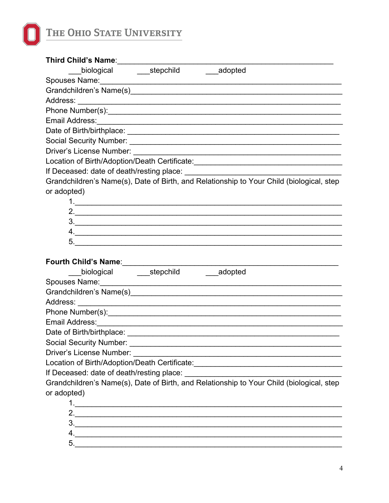

| Third Child's Name:                                                                                                                                                                                                            |  |  |
|--------------------------------------------------------------------------------------------------------------------------------------------------------------------------------------------------------------------------------|--|--|
| biological ________stepchild<br>___adopted                                                                                                                                                                                     |  |  |
| Spouses Name: Manner Spouse of the Contract of the Contract of the Contract of the Contract of the Contract of the Contract of the Contract of the Contract of the Contract of the Contract of the Contract of the Contract of |  |  |
|                                                                                                                                                                                                                                |  |  |
|                                                                                                                                                                                                                                |  |  |
|                                                                                                                                                                                                                                |  |  |
| Email Address: All Annual Address: All Annual Address: All Annual Address: All Annual Address: All Annual Address: All Annual Address: All Annual Address: All Annual Address: All Annual Address: All Annual Address: All Ann |  |  |
|                                                                                                                                                                                                                                |  |  |
|                                                                                                                                                                                                                                |  |  |
|                                                                                                                                                                                                                                |  |  |
| Location of Birth/Adoption/Death Certificate:___________________________________                                                                                                                                               |  |  |
|                                                                                                                                                                                                                                |  |  |
| Grandchildren's Name(s), Date of Birth, and Relationship to Your Child (biological, step                                                                                                                                       |  |  |
| or adopted)                                                                                                                                                                                                                    |  |  |
|                                                                                                                                                                                                                                |  |  |
|                                                                                                                                                                                                                                |  |  |
|                                                                                                                                                                                                                                |  |  |
| 4.                                                                                                                                                                                                                             |  |  |
| 5.                                                                                                                                                                                                                             |  |  |
|                                                                                                                                                                                                                                |  |  |
| Fourth Child's Name:                                                                                                                                                                                                           |  |  |
|                                                                                                                                                                                                                                |  |  |
|                                                                                                                                                                                                                                |  |  |
|                                                                                                                                                                                                                                |  |  |
| Address:                                                                                                                                                                                                                       |  |  |
|                                                                                                                                                                                                                                |  |  |
|                                                                                                                                                                                                                                |  |  |
|                                                                                                                                                                                                                                |  |  |
|                                                                                                                                                                                                                                |  |  |
| Driver's License Number:                                                                                                                                                                                                       |  |  |
| Location of Birth/Adoption/Death Certificate: Manuscription of Birth/Adoption/Death Certificate:                                                                                                                               |  |  |
|                                                                                                                                                                                                                                |  |  |
| Grandchildren's Name(s), Date of Birth, and Relationship to Your Child (biological, step                                                                                                                                       |  |  |
| or adopted)                                                                                                                                                                                                                    |  |  |
|                                                                                                                                                                                                                                |  |  |
|                                                                                                                                                                                                                                |  |  |
|                                                                                                                                                                                                                                |  |  |
| 4.                                                                                                                                                                                                                             |  |  |
|                                                                                                                                                                                                                                |  |  |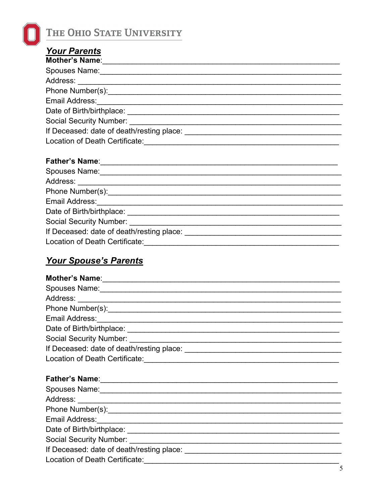

# **Your Parents**

| Mother's Name:                                            |  |
|-----------------------------------------------------------|--|
| Spouses Name: Spouses Name:                               |  |
|                                                           |  |
|                                                           |  |
| Email Address: <u>Communication</u>                       |  |
|                                                           |  |
|                                                           |  |
| If Deceased: date of death/resting place:                 |  |
| Location of Death Certificate: Material Material Analysis |  |
|                                                           |  |

### Father's Name:

| Spouses Name: Mannell Allen Manner Manner Manner Manner Manner Manner Manner Manner Manner Manner Manner Manner |  |
|-----------------------------------------------------------------------------------------------------------------|--|
| Address: 2008                                                                                                   |  |
| Phone Number(s): 2000                                                                                           |  |
| Email Address: _________________                                                                                |  |
|                                                                                                                 |  |
| Social Security Number: _______________                                                                         |  |
| If Deceased: date of death/resting place:                                                                       |  |
| Location of Death Certificate:                                                                                  |  |
|                                                                                                                 |  |

## Your Spouse's Parents

| <b>Mother's Name:</b>                                                                                                                                                                                                          |  |
|--------------------------------------------------------------------------------------------------------------------------------------------------------------------------------------------------------------------------------|--|
| Spouses Name:                                                                                                                                                                                                                  |  |
| Address: 2008                                                                                                                                                                                                                  |  |
|                                                                                                                                                                                                                                |  |
| Email Address: Management Contract of Contract of Contract of Contract of Contract of Contract of Contract of Contract of Contract of Contract of Contract of Contract of Contract of Contract of Contract of Contract of Cont |  |
|                                                                                                                                                                                                                                |  |
| Social Security Number: Social Security Number:                                                                                                                                                                                |  |
| If Deceased: date of death/resting place: If Deceased: date of death/resting place:                                                                                                                                            |  |
| Location of Death Certificate:                                                                                                                                                                                                 |  |
|                                                                                                                                                                                                                                |  |

### Father's Name: Manual Manual Manual Manual Manual Manual Manual Manual Manual Manual Manual Manual Manual Manual

| Spouses Name:                             |  |
|-------------------------------------------|--|
| Address:                                  |  |
| Phone Number(s): Note that the Number     |  |
| Email Address:                            |  |
| Date of Birth/birthplace:                 |  |
| Social Security Number:                   |  |
| If Deceased: date of death/resting place: |  |
| Location of Death Certificate:            |  |
|                                           |  |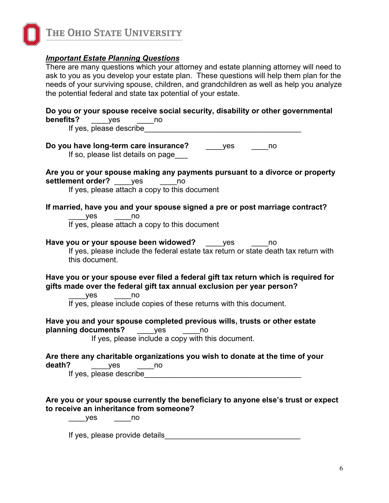

#### *Important Estate Planning Questions*

There are many questions which your attorney and estate planning attorney will need to ask to you as you develop your estate plan. These questions will help them plan for the needs of your surviving spouse, children, and grandchildren as well as help you analyze the potential federal and state tax potential of your estate.

| Do you or your spouse receive social security, disability or other governmental<br>benefits?<br>yes<br>$\overline{\phantom{a}}$ no                                                                                                              |  |  |
|-------------------------------------------------------------------------------------------------------------------------------------------------------------------------------------------------------------------------------------------------|--|--|
| Do you have long-term care insurance? ves<br>no<br>If so, please list details on page                                                                                                                                                           |  |  |
| Are you or your spouse making any payments pursuant to a divorce or property<br>settlement order? yes<br>no<br>If yes, please attach a copy to this document                                                                                    |  |  |
| If married, have you and your spouse signed a pre or post marriage contract?<br>$__yes$<br>If yes, please attach a copy to this document                                                                                                        |  |  |
| Have you or your spouse been widowed? Wes<br>no<br>If yes, please include the federal estate tax return or state death tax return with<br>this document.                                                                                        |  |  |
| Have you or your spouse ever filed a federal gift tax return which is required for<br>gifts made over the federal gift tax annual exclusion per year person?<br>yes<br>no<br>If yes, please include copies of these returns with this document. |  |  |
| Have you and your spouse completed previous wills, trusts or other estate<br>planning documents?<br>yes<br><u>no and no motive</u><br>If yes, please include a copy with this document.                                                         |  |  |
| Are there any charitable organizations you wish to donate at the time of your<br>death?<br>$V$ es<br><u>nominal</u>                                                                                                                             |  |  |
| Are you or your spouse currently the beneficiary to anyone else's trust or expect<br>to receive an inheritance from someone?                                                                                                                    |  |  |

\_\_\_\_\_yes \_\_\_\_\_no

If yes, please provide details\_\_\_\_\_\_\_\_\_\_\_\_\_\_\_\_\_\_\_\_\_\_\_\_\_\_\_\_\_\_\_\_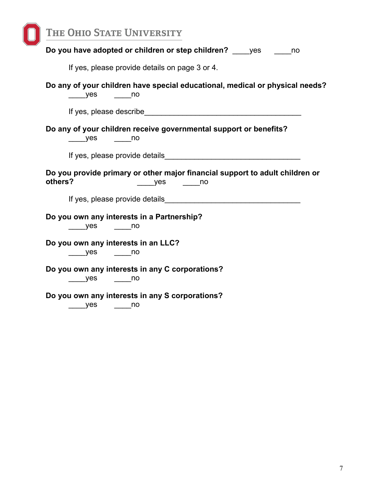|                                                                                                   | THE OHIO STATE UNIVERSITY                                                                          |  |  |
|---------------------------------------------------------------------------------------------------|----------------------------------------------------------------------------------------------------|--|--|
|                                                                                                   | Do you have adopted or children or step children? ves ho                                           |  |  |
|                                                                                                   | If yes, please provide details on page 3 or 4.                                                     |  |  |
|                                                                                                   | Do any of your children have special educational, medical or physical needs?<br>______yes ______no |  |  |
|                                                                                                   |                                                                                                    |  |  |
|                                                                                                   | Do any of your children receive governmental support or benefits?<br>yes<br>$\sim$ no              |  |  |
|                                                                                                   |                                                                                                    |  |  |
| Do you provide primary or other major financial support to adult children or<br>others?<br>yes no |                                                                                                    |  |  |
|                                                                                                   | Do you own any interests in a Partnership?                                                         |  |  |
|                                                                                                   |                                                                                                    |  |  |
|                                                                                                   | ______yes ______no                                                                                 |  |  |
|                                                                                                   | Do you own any interests in an LLC?<br>_____yes _____no                                            |  |  |
|                                                                                                   |                                                                                                    |  |  |
|                                                                                                   | Do you own any interests in any C corporations?<br>yes no                                          |  |  |
|                                                                                                   | Do you own any interests in any S corporations?<br>yes<br>no<br>$\mathcal{L} = \mathcal{L}$        |  |  |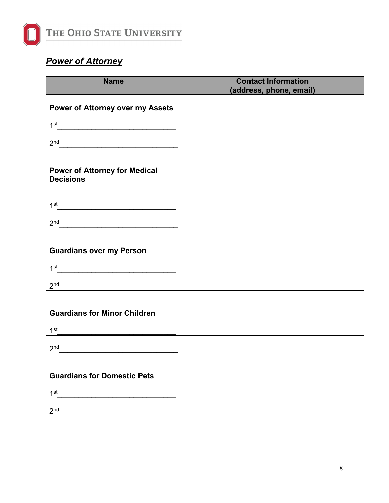

# *Power of Attorney*

| <b>Name</b>                                              | <b>Contact Information</b><br>(address, phone, email) |
|----------------------------------------------------------|-------------------------------------------------------|
|                                                          |                                                       |
| <b>Power of Attorney over my Assets</b>                  |                                                       |
| 1 <sup>st</sup>                                          |                                                       |
| 2 <sup>nd</sup>                                          |                                                       |
|                                                          |                                                       |
| <b>Power of Attorney for Medical</b><br><b>Decisions</b> |                                                       |
| 1 <sup>st</sup>                                          |                                                       |
| 2 <sub>nd</sub>                                          |                                                       |
|                                                          |                                                       |
| <b>Guardians over my Person</b>                          |                                                       |
| 1 <sup>st</sup>                                          |                                                       |
| 2 <sub>nd</sub>                                          |                                                       |
|                                                          |                                                       |
| <b>Guardians for Minor Children</b>                      |                                                       |
| 1 <sup>st</sup>                                          |                                                       |
| 2 <sup>nd</sup>                                          |                                                       |
|                                                          |                                                       |
| <b>Guardians for Domestic Pets</b>                       |                                                       |
| 1 <sup>st</sup>                                          |                                                       |
| 2 <sup>nd</sup>                                          |                                                       |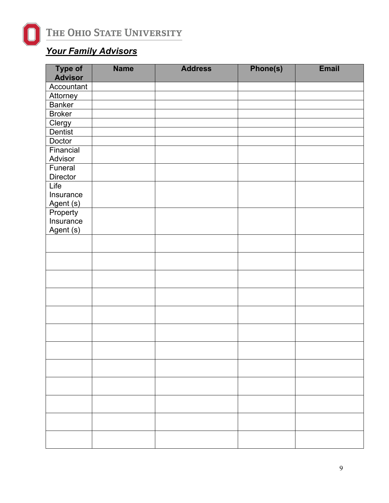

# *Your Family Advisors*

| <b>Type of</b><br><b>Advisor</b> | <b>Name</b> | <b>Address</b> | Phone(s) | <b>Email</b> |
|----------------------------------|-------------|----------------|----------|--------------|
| Accountant                       |             |                |          |              |
| Attorney                         |             |                |          |              |
| <b>Banker</b>                    |             |                |          |              |
| <b>Broker</b>                    |             |                |          |              |
| Clergy                           |             |                |          |              |
| Dentist                          |             |                |          |              |
| Doctor                           |             |                |          |              |
| Financial                        |             |                |          |              |
| Advisor                          |             |                |          |              |
| Funeral                          |             |                |          |              |
| Director                         |             |                |          |              |
| Life                             |             |                |          |              |
| Insurance                        |             |                |          |              |
| Agent (s)                        |             |                |          |              |
| Property                         |             |                |          |              |
| Insurance                        |             |                |          |              |
| Agent (s)                        |             |                |          |              |
|                                  |             |                |          |              |
|                                  |             |                |          |              |
|                                  |             |                |          |              |
|                                  |             |                |          |              |
|                                  |             |                |          |              |
|                                  |             |                |          |              |
|                                  |             |                |          |              |
|                                  |             |                |          |              |
|                                  |             |                |          |              |
|                                  |             |                |          |              |
|                                  |             |                |          |              |
|                                  |             |                |          |              |
|                                  |             |                |          |              |
|                                  |             |                |          |              |
|                                  |             |                |          |              |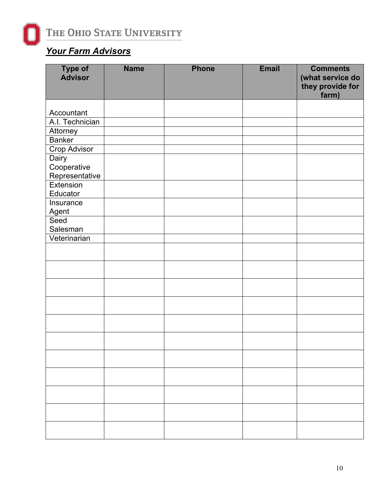

# *Your Farm Advisors*

| <b>Type of</b><br><b>Advisor</b> | <b>Name</b> | <b>Phone</b> | <b>Email</b> | <b>Comments</b><br>(what service do |
|----------------------------------|-------------|--------------|--------------|-------------------------------------|
|                                  |             |              |              | they provide for<br>farm)           |
|                                  |             |              |              |                                     |
| Accountant                       |             |              |              |                                     |
| A.I. Technician                  |             |              |              |                                     |
| Attorney                         |             |              |              |                                     |
| <b>Banker</b>                    |             |              |              |                                     |
| <b>Crop Advisor</b>              |             |              |              |                                     |
| Dairy                            |             |              |              |                                     |
| Cooperative                      |             |              |              |                                     |
| Representative                   |             |              |              |                                     |
| Extension                        |             |              |              |                                     |
| Educator                         |             |              |              |                                     |
| Insurance                        |             |              |              |                                     |
| Agent<br>Seed                    |             |              |              |                                     |
| Salesman                         |             |              |              |                                     |
| Veterinarian                     |             |              |              |                                     |
|                                  |             |              |              |                                     |
|                                  |             |              |              |                                     |
|                                  |             |              |              |                                     |
|                                  |             |              |              |                                     |
|                                  |             |              |              |                                     |
|                                  |             |              |              |                                     |
|                                  |             |              |              |                                     |
|                                  |             |              |              |                                     |
|                                  |             |              |              |                                     |
|                                  |             |              |              |                                     |
|                                  |             |              |              |                                     |
|                                  |             |              |              |                                     |
|                                  |             |              |              |                                     |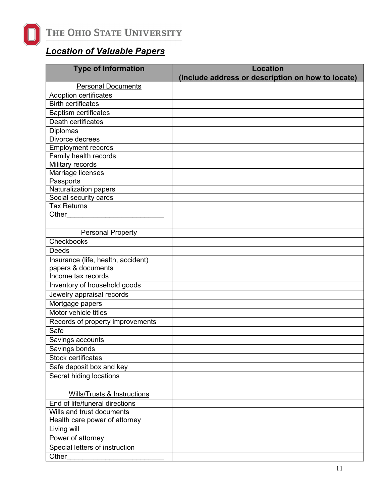

# *Location of Valuable Papers*

| <b>Type of Information</b>             | <b>Location</b><br>(Include address or description on how to locate) |
|----------------------------------------|----------------------------------------------------------------------|
| <b>Personal Documents</b>              |                                                                      |
| Adoption certificates                  |                                                                      |
| <b>Birth certificates</b>              |                                                                      |
| <b>Baptism certificates</b>            |                                                                      |
| Death certificates                     |                                                                      |
| <b>Diplomas</b>                        |                                                                      |
| Divorce decrees                        |                                                                      |
| <b>Employment records</b>              |                                                                      |
| Family health records                  |                                                                      |
| Military records                       |                                                                      |
| Marriage licenses                      |                                                                      |
| Passports                              |                                                                      |
| Naturalization papers                  |                                                                      |
| Social security cards                  |                                                                      |
| $\overline{\text{Tax}}$ Returns        |                                                                      |
| Other                                  |                                                                      |
|                                        |                                                                      |
| <b>Personal Property</b>               |                                                                      |
| Checkbooks                             |                                                                      |
| <b>Deeds</b>                           |                                                                      |
| Insurance (life, health, accident)     |                                                                      |
| papers & documents                     |                                                                      |
| Income tax records                     |                                                                      |
| Inventory of household goods           |                                                                      |
| Jewelry appraisal records              |                                                                      |
| Mortgage papers                        |                                                                      |
| Motor vehicle titles                   |                                                                      |
| Records of property improvements       |                                                                      |
| Safe                                   |                                                                      |
| Savings accounts                       |                                                                      |
| Savings bonds                          |                                                                      |
| <b>Stock certificates</b>              |                                                                      |
| Safe deposit box and key               |                                                                      |
| Secret hiding locations                |                                                                      |
|                                        |                                                                      |
| <b>Wills/Trusts &amp; Instructions</b> |                                                                      |
| End of life/funeral directions         |                                                                      |
| Wills and trust documents              |                                                                      |
| Health care power of attorney          |                                                                      |
| Living will                            |                                                                      |
| Power of attorney                      |                                                                      |
| Special letters of instruction         |                                                                      |
|                                        |                                                                      |
| Other                                  |                                                                      |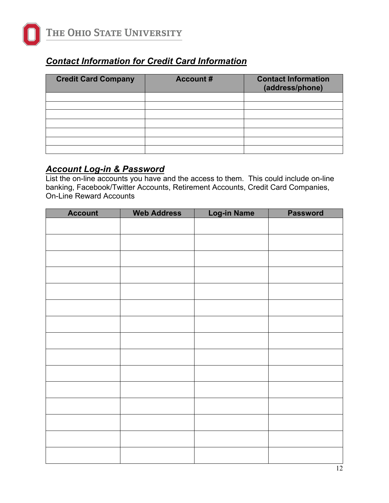

## *Contact Information for Credit Card Information*

| <b>Credit Card Company</b> | <b>Account#</b> | <b>Contact Information</b><br>(address/phone) |
|----------------------------|-----------------|-----------------------------------------------|
|                            |                 |                                               |
|                            |                 |                                               |
|                            |                 |                                               |
|                            |                 |                                               |
|                            |                 |                                               |
|                            |                 |                                               |
|                            |                 |                                               |

### *Account Log-in & Password*

List the on-line accounts you have and the access to them. This could include on-line banking, Facebook/Twitter Accounts, Retirement Accounts, Credit Card Companies, On-Line Reward Accounts

| <b>Account</b> | <b>Web Address</b> | Log-in Name | <b>Password</b> |
|----------------|--------------------|-------------|-----------------|
|                |                    |             |                 |
|                |                    |             |                 |
|                |                    |             |                 |
|                |                    |             |                 |
|                |                    |             |                 |
|                |                    |             |                 |
|                |                    |             |                 |
|                |                    |             |                 |
|                |                    |             |                 |
|                |                    |             |                 |
|                |                    |             |                 |
|                |                    |             |                 |
|                |                    |             |                 |
|                |                    |             |                 |
|                |                    |             |                 |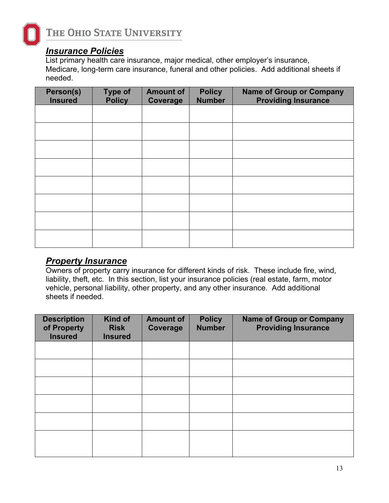

### *Insurance Policies*

List primary health care insurance, major medical, other employer's insurance, Medicare, long-term care insurance, funeral and other policies. Add additional sheets if needed.

| Person(s)<br><b>Insured</b> | <b>Type of</b><br><b>Policy</b> | <b>Amount of</b><br>Coverage | <b>Policy</b><br><b>Number</b> | <b>Name of Group or Company</b><br><b>Providing Insurance</b> |
|-----------------------------|---------------------------------|------------------------------|--------------------------------|---------------------------------------------------------------|
|                             |                                 |                              |                                |                                                               |
|                             |                                 |                              |                                |                                                               |
|                             |                                 |                              |                                |                                                               |
|                             |                                 |                              |                                |                                                               |
|                             |                                 |                              |                                |                                                               |
|                             |                                 |                              |                                |                                                               |
|                             |                                 |                              |                                |                                                               |
|                             |                                 |                              |                                |                                                               |

### *Property Insurance*

Owners of property carry insurance for different kinds of risk. These include fire, wind, liability, theft, etc. In this section, list your insurance policies (real estate, farm, motor vehicle, personal liability, other property, and any other insurance. Add additional sheets if needed.

| <b>Description</b><br>of Property<br><b>Insured</b> | <b>Kind of</b><br><b>Risk</b><br><b>Insured</b> | <b>Amount of</b><br>Coverage | <b>Policy</b><br><b>Number</b> | <b>Name of Group or Company</b><br><b>Providing Insurance</b> |
|-----------------------------------------------------|-------------------------------------------------|------------------------------|--------------------------------|---------------------------------------------------------------|
|                                                     |                                                 |                              |                                |                                                               |
|                                                     |                                                 |                              |                                |                                                               |
|                                                     |                                                 |                              |                                |                                                               |
|                                                     |                                                 |                              |                                |                                                               |
|                                                     |                                                 |                              |                                |                                                               |
|                                                     |                                                 |                              |                                |                                                               |
|                                                     |                                                 |                              |                                |                                                               |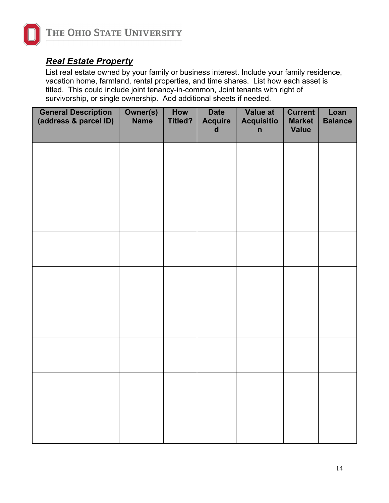

## *Real Estate Property*

List real estate owned by your family or business interest. Include your family residence, vacation home, farmland, rental properties, and time shares. List how each asset is titled. This could include joint tenancy-in-common, Joint tenants with right of survivorship, or single ownership. Add additional sheets if needed.

| <b>General Description</b><br>(address & parcel ID) | Owner(s)<br><b>Name</b> | How<br><b>Titled?</b> | <b>Date</b><br><b>Acquire</b><br>$\mathsf{d}$ | <b>Value at</b><br><b>Acquisitio</b><br>$\mathsf{n}$ | <b>Current</b><br><b>Market</b><br><b>Value</b> | Loan<br><b>Balance</b> |
|-----------------------------------------------------|-------------------------|-----------------------|-----------------------------------------------|------------------------------------------------------|-------------------------------------------------|------------------------|
|                                                     |                         |                       |                                               |                                                      |                                                 |                        |
|                                                     |                         |                       |                                               |                                                      |                                                 |                        |
|                                                     |                         |                       |                                               |                                                      |                                                 |                        |
|                                                     |                         |                       |                                               |                                                      |                                                 |                        |
|                                                     |                         |                       |                                               |                                                      |                                                 |                        |
|                                                     |                         |                       |                                               |                                                      |                                                 |                        |
|                                                     |                         |                       |                                               |                                                      |                                                 |                        |
|                                                     |                         |                       |                                               |                                                      |                                                 |                        |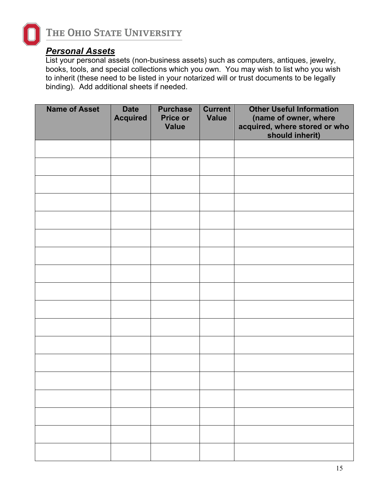

## *Personal Assets*

List your personal assets (non-business assets) such as computers, antiques, jewelry, books, tools, and special collections which you own. You may wish to list who you wish to inherit (these need to be listed in your notarized will or trust documents to be legally binding). Add additional sheets if needed.

| <b>Name of Asset</b> | <b>Date</b><br><b>Acquired</b> | <b>Purchase</b><br>Price or<br><b>Value</b> | <b>Current</b><br>Value | <b>Other Useful Information</b><br>(name of owner, where<br>acquired, where stored or who<br>should inherit) |
|----------------------|--------------------------------|---------------------------------------------|-------------------------|--------------------------------------------------------------------------------------------------------------|
|                      |                                |                                             |                         |                                                                                                              |
|                      |                                |                                             |                         |                                                                                                              |
|                      |                                |                                             |                         |                                                                                                              |
|                      |                                |                                             |                         |                                                                                                              |
|                      |                                |                                             |                         |                                                                                                              |
|                      |                                |                                             |                         |                                                                                                              |
|                      |                                |                                             |                         |                                                                                                              |
|                      |                                |                                             |                         |                                                                                                              |
|                      |                                |                                             |                         |                                                                                                              |
|                      |                                |                                             |                         |                                                                                                              |
|                      |                                |                                             |                         |                                                                                                              |
|                      |                                |                                             |                         |                                                                                                              |
|                      |                                |                                             |                         |                                                                                                              |
|                      |                                |                                             |                         |                                                                                                              |
|                      |                                |                                             |                         |                                                                                                              |
|                      |                                |                                             |                         |                                                                                                              |
|                      |                                |                                             |                         |                                                                                                              |
|                      |                                |                                             |                         |                                                                                                              |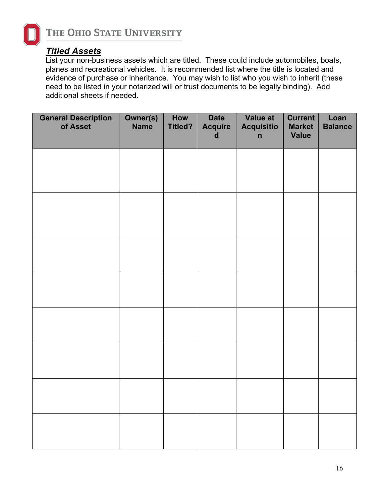

## *Titled Assets*

List your non-business assets which are titled. These could include automobiles, boats, planes and recreational vehicles. It is recommended list where the title is located and evidence of purchase or inheritance. You may wish to list who you wish to inherit (these need to be listed in your notarized will or trust documents to be legally binding). Add additional sheets if needed.

| <b>General Description</b><br>of Asset | Owner(s)<br><b>Name</b> | How<br><b>Titled?</b> | <b>Date</b><br><b>Acquire</b><br>$\mathbf d$ | <b>Value at</b><br><b>Acquisitio</b><br>$\mathsf{n}$ | Current<br><b>Market</b><br><b>Value</b> | Loan<br><b>Balance</b> |
|----------------------------------------|-------------------------|-----------------------|----------------------------------------------|------------------------------------------------------|------------------------------------------|------------------------|
|                                        |                         |                       |                                              |                                                      |                                          |                        |
|                                        |                         |                       |                                              |                                                      |                                          |                        |
|                                        |                         |                       |                                              |                                                      |                                          |                        |
|                                        |                         |                       |                                              |                                                      |                                          |                        |
|                                        |                         |                       |                                              |                                                      |                                          |                        |
|                                        |                         |                       |                                              |                                                      |                                          |                        |
|                                        |                         |                       |                                              |                                                      |                                          |                        |
|                                        |                         |                       |                                              |                                                      |                                          |                        |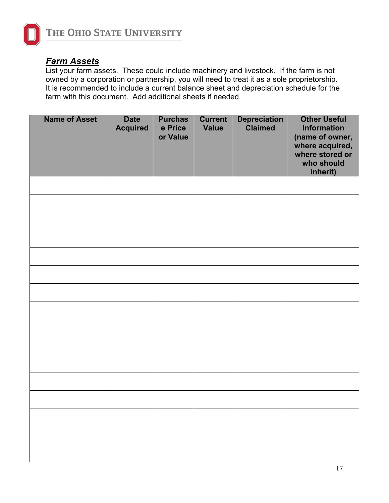

## *Farm Assets*

List your farm assets. These could include machinery and livestock. If the farm is not owned by a corporation or partnership, you will need to treat it as a sole proprietorship. It is recommended to include a current balance sheet and depreciation schedule for the farm with this document. Add additional sheets if needed.

| <b>Name of Asset</b> | <b>Date</b><br><b>Acquired</b> | <b>Purchas</b><br>e Price<br>or Value | <b>Current</b><br><b>Value</b> | <b>Depreciation</b><br><b>Claimed</b> | <b>Other Useful</b><br><b>Information</b><br>(name of owner,<br>where acquired,<br>where stored or<br>who should<br>inherit) |
|----------------------|--------------------------------|---------------------------------------|--------------------------------|---------------------------------------|------------------------------------------------------------------------------------------------------------------------------|
|                      |                                |                                       |                                |                                       |                                                                                                                              |
|                      |                                |                                       |                                |                                       |                                                                                                                              |
|                      |                                |                                       |                                |                                       |                                                                                                                              |
|                      |                                |                                       |                                |                                       |                                                                                                                              |
|                      |                                |                                       |                                |                                       |                                                                                                                              |
|                      |                                |                                       |                                |                                       |                                                                                                                              |
|                      |                                |                                       |                                |                                       |                                                                                                                              |
|                      |                                |                                       |                                |                                       |                                                                                                                              |
|                      |                                |                                       |                                |                                       |                                                                                                                              |
|                      |                                |                                       |                                |                                       |                                                                                                                              |
|                      |                                |                                       |                                |                                       |                                                                                                                              |
|                      |                                |                                       |                                |                                       |                                                                                                                              |
|                      |                                |                                       |                                |                                       |                                                                                                                              |
|                      |                                |                                       |                                |                                       |                                                                                                                              |
|                      |                                |                                       |                                |                                       |                                                                                                                              |
|                      |                                |                                       |                                |                                       |                                                                                                                              |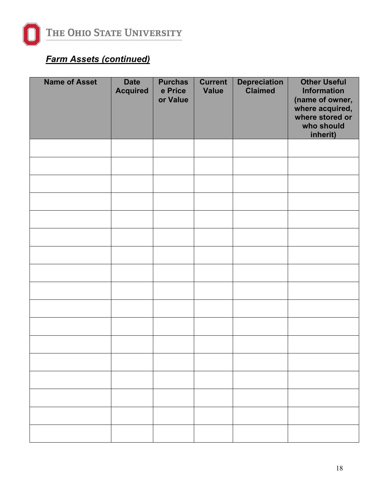

## *Farm Assets (continued)*

| <b>Name of Asset</b> | <b>Date</b><br><b>Acquired</b> | <b>Purchas</b><br>e Price<br>or Value | <b>Current</b><br><b>Value</b> | <b>Depreciation</b><br><b>Claimed</b> | <b>Other Useful</b><br><b>Information</b><br>(name of owner,<br>where acquired,<br>where stored or<br>who should<br>inherit) |
|----------------------|--------------------------------|---------------------------------------|--------------------------------|---------------------------------------|------------------------------------------------------------------------------------------------------------------------------|
|                      |                                |                                       |                                |                                       |                                                                                                                              |
|                      |                                |                                       |                                |                                       |                                                                                                                              |
|                      |                                |                                       |                                |                                       |                                                                                                                              |
|                      |                                |                                       |                                |                                       |                                                                                                                              |
|                      |                                |                                       |                                |                                       |                                                                                                                              |
|                      |                                |                                       |                                |                                       |                                                                                                                              |
|                      |                                |                                       |                                |                                       |                                                                                                                              |
|                      |                                |                                       |                                |                                       |                                                                                                                              |
|                      |                                |                                       |                                |                                       |                                                                                                                              |
|                      |                                |                                       |                                |                                       |                                                                                                                              |
|                      |                                |                                       |                                |                                       |                                                                                                                              |
|                      |                                |                                       |                                |                                       |                                                                                                                              |
|                      |                                |                                       |                                |                                       |                                                                                                                              |
|                      |                                |                                       |                                |                                       |                                                                                                                              |
|                      |                                |                                       |                                |                                       |                                                                                                                              |
|                      |                                |                                       |                                |                                       |                                                                                                                              |
|                      |                                |                                       |                                |                                       |                                                                                                                              |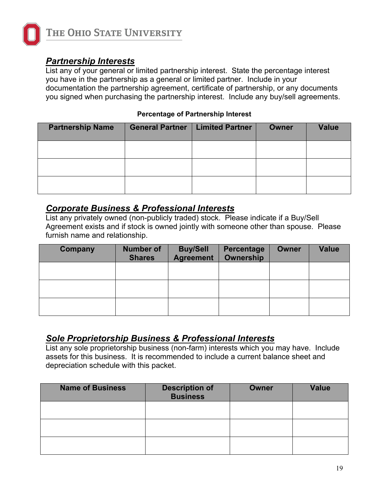

### *Partnership Interests*

List any of your general or limited partnership interest. State the percentage interest you have in the partnership as a general or limited partner. Include in your documentation the partnership agreement, certificate of partnership, or any documents you signed when purchasing the partnership interest. Include any buy/sell agreements.

#### **Percentage of Partnership Interest**

| <b>Partnership Name</b> | <b>General Partner</b> | <b>Limited Partner</b> | <b>Owner</b> | <b>Value</b> |
|-------------------------|------------------------|------------------------|--------------|--------------|
|                         |                        |                        |              |              |
|                         |                        |                        |              |              |
|                         |                        |                        |              |              |

### *Corporate Business & Professional Interests*

List any privately owned (non-publicly traded) stock. Please indicate if a Buy/Sell Agreement exists and if stock is owned jointly with someone other than spouse. Please furnish name and relationship.

| Company | <b>Number of</b><br><b>Shares</b> | <b>Buy/Sell</b><br><b>Agreement</b> | Percentage<br>Ownership | <b>Owner</b> | <b>Value</b> |
|---------|-----------------------------------|-------------------------------------|-------------------------|--------------|--------------|
|         |                                   |                                     |                         |              |              |
|         |                                   |                                     |                         |              |              |
|         |                                   |                                     |                         |              |              |

### *Sole Proprietorship Business & Professional Interests*

List any sole proprietorship business (non-farm) interests which you may have. Include assets for this business. It is recommended to include a current balance sheet and depreciation schedule with this packet.

| <b>Name of Business</b> | <b>Description of</b><br><b>Business</b> | <b>Owner</b> | <b>Value</b> |
|-------------------------|------------------------------------------|--------------|--------------|
|                         |                                          |              |              |
|                         |                                          |              |              |
|                         |                                          |              |              |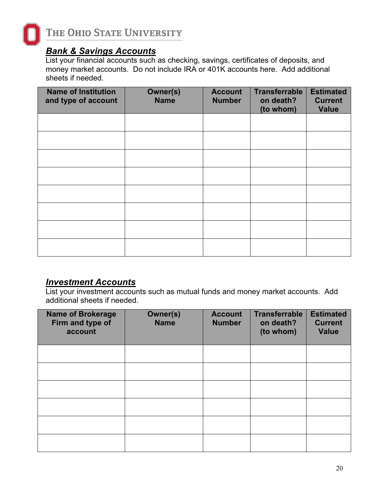

## *Bank & Savings Accounts*

List your financial accounts such as checking, savings, certificates of deposits, and money market accounts. Do not include IRA or 401K accounts here. Add additional sheets if needed.

| <b>Name of Institution</b><br>and type of account | Owner(s)<br><b>Name</b> | <b>Account</b><br><b>Number</b> | <b>Transferrable</b><br>on death?<br>(to whom) | <b>Estimated</b><br><b>Current</b><br><b>Value</b> |
|---------------------------------------------------|-------------------------|---------------------------------|------------------------------------------------|----------------------------------------------------|
|                                                   |                         |                                 |                                                |                                                    |
|                                                   |                         |                                 |                                                |                                                    |
|                                                   |                         |                                 |                                                |                                                    |
|                                                   |                         |                                 |                                                |                                                    |
|                                                   |                         |                                 |                                                |                                                    |
|                                                   |                         |                                 |                                                |                                                    |
|                                                   |                         |                                 |                                                |                                                    |
|                                                   |                         |                                 |                                                |                                                    |

### *Investment Accounts*

List your investment accounts such as mutual funds and money market accounts. Add additional sheets if needed.

| <b>Name of Brokerage</b><br>Firm and type of<br>account | Owner(s)<br><b>Name</b> | <b>Account</b><br><b>Number</b> | <b>Transferrable</b><br>on death?<br>(to whom) | <b>Estimated</b><br><b>Current</b><br><b>Value</b> |
|---------------------------------------------------------|-------------------------|---------------------------------|------------------------------------------------|----------------------------------------------------|
|                                                         |                         |                                 |                                                |                                                    |
|                                                         |                         |                                 |                                                |                                                    |
|                                                         |                         |                                 |                                                |                                                    |
|                                                         |                         |                                 |                                                |                                                    |
|                                                         |                         |                                 |                                                |                                                    |
|                                                         |                         |                                 |                                                |                                                    |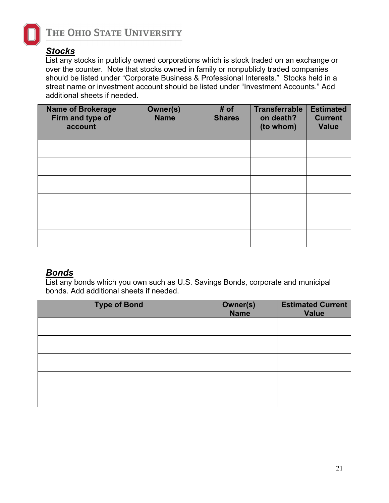

THE OHIO STATE UNIVERSITY

## *Stocks*

List any stocks in publicly owned corporations which is stock traded on an exchange or over the counter. Note that stocks owned in family or nonpublicly traded companies should be listed under "Corporate Business & Professional Interests." Stocks held in a street name or investment account should be listed under "Investment Accounts." Add additional sheets if needed.

| <b>Name of Brokerage</b><br>Firm and type of<br>account | Owner(s)<br><b>Name</b> | # of<br><b>Shares</b> | <b>Transferrable</b><br>on death?<br>(to whom) | <b>Estimated</b><br><b>Current</b><br><b>Value</b> |
|---------------------------------------------------------|-------------------------|-----------------------|------------------------------------------------|----------------------------------------------------|
|                                                         |                         |                       |                                                |                                                    |
|                                                         |                         |                       |                                                |                                                    |
|                                                         |                         |                       |                                                |                                                    |
|                                                         |                         |                       |                                                |                                                    |
|                                                         |                         |                       |                                                |                                                    |
|                                                         |                         |                       |                                                |                                                    |

## *Bonds*

List any bonds which you own such as U.S. Savings Bonds, corporate and municipal bonds. Add additional sheets if needed.

| <b>Type of Bond</b> | Owner(s)<br>Name | <b>Estimated Current</b><br><b>Value</b> |
|---------------------|------------------|------------------------------------------|
|                     |                  |                                          |
|                     |                  |                                          |
|                     |                  |                                          |
|                     |                  |                                          |
|                     |                  |                                          |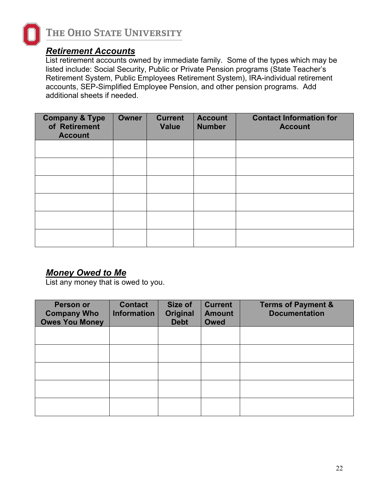

### *Retirement Accounts*

List retirement accounts owned by immediate family. Some of the types which may be listed include: Social Security, Public or Private Pension programs (State Teacher's Retirement System, Public Employees Retirement System), IRA-individual retirement accounts, SEP-Simplified Employee Pension, and other pension programs. Add additional sheets if needed.

| <b>Company &amp; Type</b><br>of Retirement<br><b>Account</b> | <b>Owner</b> | <b>Current</b><br><b>Value</b> | <b>Account</b><br><b>Number</b> | <b>Contact Information for</b><br><b>Account</b> |
|--------------------------------------------------------------|--------------|--------------------------------|---------------------------------|--------------------------------------------------|
|                                                              |              |                                |                                 |                                                  |
|                                                              |              |                                |                                 |                                                  |
|                                                              |              |                                |                                 |                                                  |
|                                                              |              |                                |                                 |                                                  |
|                                                              |              |                                |                                 |                                                  |
|                                                              |              |                                |                                 |                                                  |

### *Money Owed to Me*

List any money that is owed to you.

| <b>Person or</b><br><b>Company Who</b><br><b>Owes You Money</b> | <b>Contact</b><br><b>Information</b> | Size of<br>Original<br><b>Debt</b> | <b>Current</b><br><b>Amount</b><br><b>Owed</b> | <b>Terms of Payment &amp;</b><br><b>Documentation</b> |
|-----------------------------------------------------------------|--------------------------------------|------------------------------------|------------------------------------------------|-------------------------------------------------------|
|                                                                 |                                      |                                    |                                                |                                                       |
|                                                                 |                                      |                                    |                                                |                                                       |
|                                                                 |                                      |                                    |                                                |                                                       |
|                                                                 |                                      |                                    |                                                |                                                       |
|                                                                 |                                      |                                    |                                                |                                                       |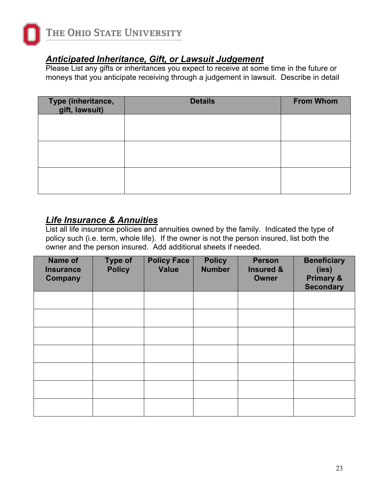

## *Anticipated Inheritance, Gift, or Lawsuit Judgement*

Please List any gifts or inheritances you expect to receive at some time in the future or moneys that you anticipate receiving through a judgement in lawsuit. Describe in detail

| Type (inheritance,<br>gift, lawsuit) | <b>Details</b> | <b>From Whom</b> |
|--------------------------------------|----------------|------------------|
|                                      |                |                  |
|                                      |                |                  |
|                                      |                |                  |
|                                      |                |                  |
|                                      |                |                  |
|                                      |                |                  |

## *Life Insurance & Annuities*

List all life insurance policies and annuities owned by the family. Indicated the type of policy such (i.e. term, whole life). If the owner is not the person insured, list both the owner and the person insured. Add additional sheets if needed.

| <b>Name of</b><br><b>Insurance</b><br><b>Company</b> | <b>Type of</b><br><b>Policy</b> | <b>Policy Face</b><br><b>Value</b> | <b>Policy</b><br><b>Number</b> | <b>Person</b><br><b>Insured &amp;</b><br>Owner | <b>Beneficiary</b><br>(ies)<br><b>Primary &amp;</b><br><b>Secondary</b> |
|------------------------------------------------------|---------------------------------|------------------------------------|--------------------------------|------------------------------------------------|-------------------------------------------------------------------------|
|                                                      |                                 |                                    |                                |                                                |                                                                         |
|                                                      |                                 |                                    |                                |                                                |                                                                         |
|                                                      |                                 |                                    |                                |                                                |                                                                         |
|                                                      |                                 |                                    |                                |                                                |                                                                         |
|                                                      |                                 |                                    |                                |                                                |                                                                         |
|                                                      |                                 |                                    |                                |                                                |                                                                         |
|                                                      |                                 |                                    |                                |                                                |                                                                         |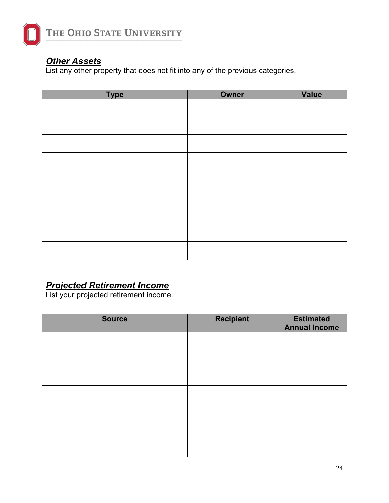

## *Other Assets*

List any other property that does not fit into any of the previous categories.

| <b>Type</b> | Owner | Value |
|-------------|-------|-------|
|             |       |       |
|             |       |       |
|             |       |       |
|             |       |       |
|             |       |       |
|             |       |       |
|             |       |       |
|             |       |       |
|             |       |       |

## *Projected Retirement Income*

List your projected retirement income.

| <b>Source</b> | <b>Recipient</b> | <b>Estimated</b><br><b>Annual Income</b> |
|---------------|------------------|------------------------------------------|
|               |                  |                                          |
|               |                  |                                          |
|               |                  |                                          |
|               |                  |                                          |
|               |                  |                                          |
|               |                  |                                          |
|               |                  |                                          |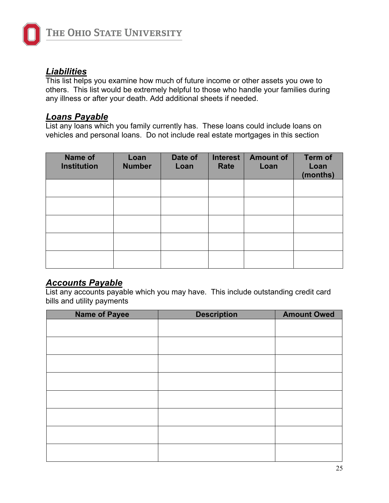

### *Liabilities*

This list helps you examine how much of future income or other assets you owe to others. This list would be extremely helpful to those who handle your families during any illness or after your death. Add additional sheets if needed.

#### *Loans Payable*

List any loans which you family currently has. These loans could include loans on vehicles and personal loans. Do not include real estate mortgages in this section

| Name of<br><b>Institution</b> | Loan<br><b>Number</b> | Date of<br>Loan | <b>Interest</b><br>Rate | <b>Amount of</b><br>Loan | Term of<br>Loan<br>(months) |
|-------------------------------|-----------------------|-----------------|-------------------------|--------------------------|-----------------------------|
|                               |                       |                 |                         |                          |                             |
|                               |                       |                 |                         |                          |                             |
|                               |                       |                 |                         |                          |                             |
|                               |                       |                 |                         |                          |                             |
|                               |                       |                 |                         |                          |                             |

### *Accounts Payable*

List any accounts payable which you may have. This include outstanding credit card bills and utility payments

| <b>Name of Payee</b> | <b>Description</b> | <b>Amount Owed</b> |
|----------------------|--------------------|--------------------|
|                      |                    |                    |
|                      |                    |                    |
|                      |                    |                    |
|                      |                    |                    |
|                      |                    |                    |
|                      |                    |                    |
|                      |                    |                    |
|                      |                    |                    |
|                      |                    |                    |
|                      |                    |                    |
|                      |                    |                    |
|                      |                    |                    |
|                      |                    |                    |
|                      |                    |                    |
|                      |                    |                    |
|                      |                    |                    |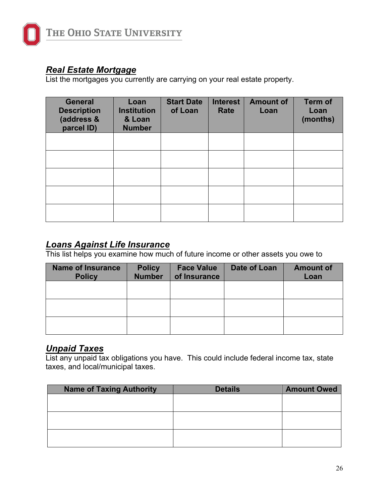

## *Real Estate Mortgage*

List the mortgages you currently are carrying on your real estate property.

| <b>General</b><br><b>Description</b><br>(address &<br>parcel ID) | Loan<br><b>Institution</b><br>& Loan<br><b>Number</b> | <b>Start Date</b><br>of Loan | <b>Interest</b><br>Rate | <b>Amount of</b><br>Loan | <b>Term of</b><br>Loan<br>(months) |
|------------------------------------------------------------------|-------------------------------------------------------|------------------------------|-------------------------|--------------------------|------------------------------------|
|                                                                  |                                                       |                              |                         |                          |                                    |
|                                                                  |                                                       |                              |                         |                          |                                    |
|                                                                  |                                                       |                              |                         |                          |                                    |
|                                                                  |                                                       |                              |                         |                          |                                    |
|                                                                  |                                                       |                              |                         |                          |                                    |

## *Loans Against Life Insurance*

This list helps you examine how much of future income or other assets you owe to

| <b>Name of Insurance</b><br><b>Policy</b> | <b>Policy</b><br><b>Number</b> | <b>Face Value</b><br>of Insurance | Date of Loan | <b>Amount of</b><br>Loan |
|-------------------------------------------|--------------------------------|-----------------------------------|--------------|--------------------------|
|                                           |                                |                                   |              |                          |
|                                           |                                |                                   |              |                          |
|                                           |                                |                                   |              |                          |

#### *Unpaid Taxes*

List any unpaid tax obligations you have. This could include federal income tax, state taxes, and local/municipal taxes.

| <b>Name of Taxing Authority</b> | <b>Details</b> | <b>Amount Owed</b> |
|---------------------------------|----------------|--------------------|
|                                 |                |                    |
|                                 |                |                    |
|                                 |                |                    |
|                                 |                |                    |
|                                 |                |                    |
|                                 |                |                    |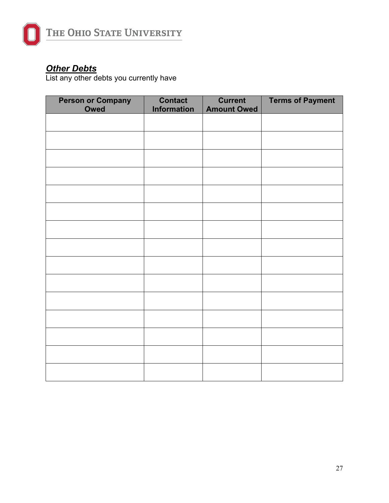

## *Other Debts*

List any other debts you currently have

| <b>Person or Company<br/>Owed</b> | <b>Contact</b><br><b>Information</b> | <b>Current</b><br><b>Amount Owed</b> | <b>Terms of Payment</b> |
|-----------------------------------|--------------------------------------|--------------------------------------|-------------------------|
|                                   |                                      |                                      |                         |
|                                   |                                      |                                      |                         |
|                                   |                                      |                                      |                         |
|                                   |                                      |                                      |                         |
|                                   |                                      |                                      |                         |
|                                   |                                      |                                      |                         |
|                                   |                                      |                                      |                         |
|                                   |                                      |                                      |                         |
|                                   |                                      |                                      |                         |
|                                   |                                      |                                      |                         |
|                                   |                                      |                                      |                         |
|                                   |                                      |                                      |                         |
|                                   |                                      |                                      |                         |
|                                   |                                      |                                      |                         |
|                                   |                                      |                                      |                         |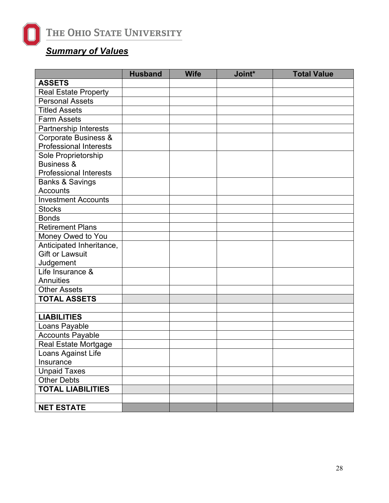

# *Summary of Values*

|                               | <b>Husband</b> | <b>Wife</b> | Joint* | <b>Total Value</b> |
|-------------------------------|----------------|-------------|--------|--------------------|
| <b>ASSETS</b>                 |                |             |        |                    |
| <b>Real Estate Property</b>   |                |             |        |                    |
| <b>Personal Assets</b>        |                |             |        |                    |
| <b>Titled Assets</b>          |                |             |        |                    |
| <b>Farm Assets</b>            |                |             |        |                    |
| Partnership Interests         |                |             |        |                    |
| Corporate Business &          |                |             |        |                    |
| <b>Professional Interests</b> |                |             |        |                    |
| Sole Proprietorship           |                |             |        |                    |
| <b>Business &amp;</b>         |                |             |        |                    |
| <b>Professional Interests</b> |                |             |        |                    |
| <b>Banks &amp; Savings</b>    |                |             |        |                    |
| Accounts                      |                |             |        |                    |
| <b>Investment Accounts</b>    |                |             |        |                    |
| <b>Stocks</b>                 |                |             |        |                    |
| <b>Bonds</b>                  |                |             |        |                    |
| <b>Retirement Plans</b>       |                |             |        |                    |
| Money Owed to You             |                |             |        |                    |
| Anticipated Inheritance,      |                |             |        |                    |
| <b>Gift or Lawsuit</b>        |                |             |        |                    |
| Judgement                     |                |             |        |                    |
| Life Insurance &              |                |             |        |                    |
| <b>Annuities</b>              |                |             |        |                    |
| <b>Other Assets</b>           |                |             |        |                    |
| <b>TOTAL ASSETS</b>           |                |             |        |                    |
|                               |                |             |        |                    |
| <b>LIABILITIES</b>            |                |             |        |                    |
| Loans Payable                 |                |             |        |                    |
| <b>Accounts Payable</b>       |                |             |        |                    |
| <b>Real Estate Mortgage</b>   |                |             |        |                    |
| Loans Against Life            |                |             |        |                    |
| Insurance                     |                |             |        |                    |
| <b>Unpaid Taxes</b>           |                |             |        |                    |
| <b>Other Debts</b>            |                |             |        |                    |
| <b>TOTAL LIABILITIES</b>      |                |             |        |                    |
|                               |                |             |        |                    |
| <b>NET ESTATE</b>             |                |             |        |                    |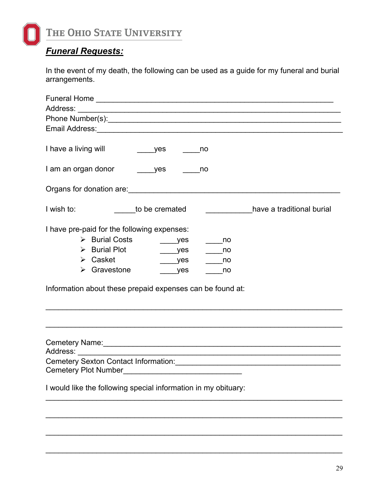

## *Funeral Requests:*

In the event of my death, the following can be used as a guide for my funeral and burial arrangements.

| Funeral Home <b>Authority of the Contract of Authority Contract of Authority Contract of Authority Contract of Authority Contract of Authority Contract of Authority Contract of Authority Contract of Authority Contract of Aut</b> |
|--------------------------------------------------------------------------------------------------------------------------------------------------------------------------------------------------------------------------------------|
|                                                                                                                                                                                                                                      |
|                                                                                                                                                                                                                                      |
|                                                                                                                                                                                                                                      |
|                                                                                                                                                                                                                                      |
| I have a living will<br>yes<br>no                                                                                                                                                                                                    |
| I am an organ donor in the yes<br>no                                                                                                                                                                                                 |
|                                                                                                                                                                                                                                      |
| I wish to:<br>to be cremated<br>have a traditional burial                                                                                                                                                                            |
| I have pre-paid for the following expenses:                                                                                                                                                                                          |
| $\triangleright$ Burial Costs<br>yes<br>$\rule{1em}{0.15mm}$ no                                                                                                                                                                      |
| $\triangleright$ Burial Plot<br>$\rule{1em}{0.15mm}$ yes<br><u>no</u>                                                                                                                                                                |
| $\triangleright$ Casket<br>$__$ yes<br>$\overline{\phantom{0}}$ no                                                                                                                                                                   |
| $\triangleright$ Gravestone<br>$\rule{1em}{0.15mm}$ yes<br>no no                                                                                                                                                                     |
| Information about these prepaid expenses can be found at:                                                                                                                                                                            |
|                                                                                                                                                                                                                                      |
|                                                                                                                                                                                                                                      |
| Cemetery Name: Contact Contact Contact Contact Contact Contact Contact Contact Contact Contact Contact Contact Contact Contact Contact Contact Contact Contact Contact Contact Contact Contact Contact Contact Contact Contact       |
| Cemetery Sexton Contact Information: [19] Decrement Control of the Control of the Control of the Control of th                                                                                                                       |
| I would like the following special information in my obituary:                                                                                                                                                                       |
|                                                                                                                                                                                                                                      |

\_\_\_\_\_\_\_\_\_\_\_\_\_\_\_\_\_\_\_\_\_\_\_\_\_\_\_\_\_\_\_\_\_\_\_\_\_\_\_\_\_\_\_\_\_\_\_\_\_\_\_\_\_\_\_\_\_\_\_\_\_\_\_\_\_\_\_\_\_\_

\_\_\_\_\_\_\_\_\_\_\_\_\_\_\_\_\_\_\_\_\_\_\_\_\_\_\_\_\_\_\_\_\_\_\_\_\_\_\_\_\_\_\_\_\_\_\_\_\_\_\_\_\_\_\_\_\_\_\_\_\_\_\_\_\_\_\_\_\_\_

\_\_\_\_\_\_\_\_\_\_\_\_\_\_\_\_\_\_\_\_\_\_\_\_\_\_\_\_\_\_\_\_\_\_\_\_\_\_\_\_\_\_\_\_\_\_\_\_\_\_\_\_\_\_\_\_\_\_\_\_\_\_\_\_\_\_\_\_\_\_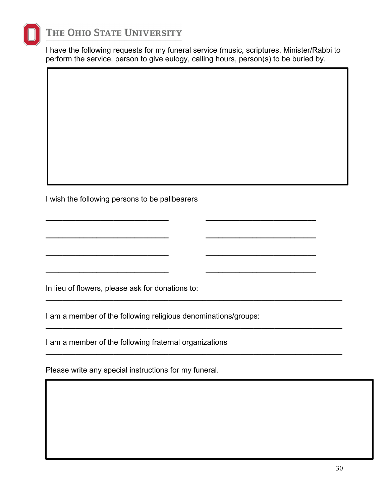

THE OHIO STATE UNIVERSITY

I have the following requests for my funeral service (music, scriptures, Minister/Rabbi to perform the service, person to give eulogy, calling hours, person(s) to be buried by.

*\_\_\_\_\_\_\_\_\_\_\_\_\_\_\_\_\_\_\_\_\_\_\_\_\_\_\_\_\_ \_\_\_\_\_\_\_\_\_\_\_\_\_\_\_\_\_\_\_\_\_\_\_\_\_\_*

*\_\_\_\_\_\_\_\_\_\_\_\_\_\_\_\_\_\_\_\_\_\_\_\_\_\_\_\_\_ \_\_\_\_\_\_\_\_\_\_\_\_\_\_\_\_\_\_\_\_\_\_\_\_\_\_*

*\_\_\_\_\_\_\_\_\_\_\_\_\_\_\_\_\_\_\_\_\_\_\_\_\_\_\_\_\_ \_\_\_\_\_\_\_\_\_\_\_\_\_\_\_\_\_\_\_\_\_\_\_\_\_\_*

*\_\_\_\_\_\_\_\_\_\_\_\_\_\_\_\_\_\_\_\_\_\_\_\_\_\_\_\_\_ \_\_\_\_\_\_\_\_\_\_\_\_\_\_\_\_\_\_\_\_\_\_\_\_\_\_*

*\_\_\_\_\_\_\_\_\_\_\_\_\_\_\_\_\_\_\_\_\_\_\_\_\_\_\_\_\_\_\_\_\_\_\_\_\_\_\_\_\_\_\_\_\_\_\_\_\_\_\_\_\_\_\_\_\_\_\_\_\_\_\_\_\_\_\_\_\_\_*

*\_\_\_\_\_\_\_\_\_\_\_\_\_\_\_\_\_\_\_\_\_\_\_\_\_\_\_\_\_\_\_\_\_\_\_\_\_\_\_\_\_\_\_\_\_\_\_\_\_\_\_\_\_\_\_\_\_\_\_\_\_\_\_\_\_\_\_\_\_\_*

*\_\_\_\_\_\_\_\_\_\_\_\_\_\_\_\_\_\_\_\_\_\_\_\_\_\_\_\_\_\_\_\_\_\_\_\_\_\_\_\_\_\_\_\_\_\_\_\_\_\_\_\_\_\_\_\_\_\_\_\_\_\_\_\_\_\_\_\_\_\_*

I wish the following persons to be pallbearers

In lieu of flowers, please ask for donations to:

I am a member of the following religious denominations/groups:

I am a member of the following fraternal organizations

Please write any special instructions for my funeral.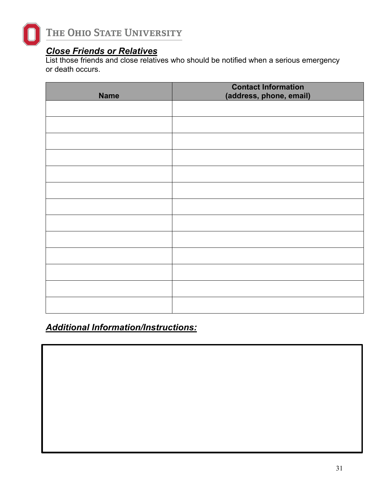

## *Close Friends or Relatives*

List those friends and close relatives who should be notified when a serious emergency or death occurs.

| <b>Name</b> | <b>Contact Information</b><br>(address, phone, email) |
|-------------|-------------------------------------------------------|
|             |                                                       |
|             |                                                       |
|             |                                                       |
|             |                                                       |
|             |                                                       |
|             |                                                       |
|             |                                                       |
|             |                                                       |
|             |                                                       |
|             |                                                       |
|             |                                                       |
|             |                                                       |
|             |                                                       |

## *Additional Information/Instructions:*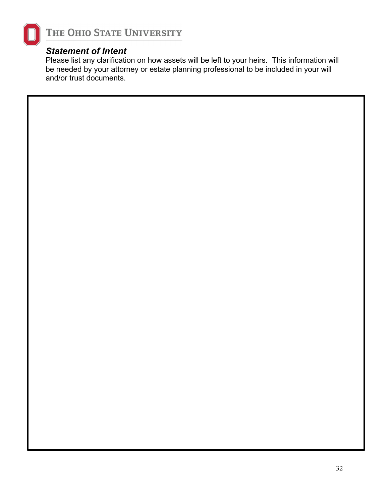

## *Statement of Intent*

Please list any clarification on how assets will be left to your heirs. This information will be needed by your attorney or estate planning professional to be included in your will and/or trust documents.